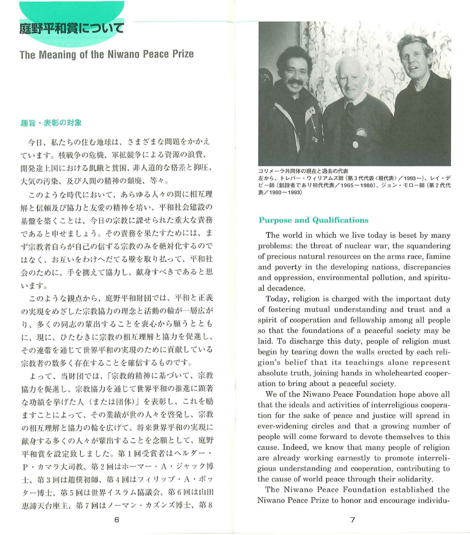庭野平和賞にヲいて

# The Meaning of the Niwano Peace Prize

## 趣旨・表彰の対象

今日、私たちの住む地球は、さまざまな問題をかかえ ています。核戦争の危機、軍拡競争による資源の浪費、 開発途上国における飢餓と貧困、非人道的な格差と抑圧、 大気の汚染、及び人間の精神の頬廃、等々。

このような時代において、あらゆる人々の間に相互理 解と信頼及び協力と友愛の精神を培い、平和社会建設の 基盤を築くことは、今日の宗教に謀せられた重大な責務 であると申せましょう。その責務を果たすためには、ま ず宗教者自らが自己の信ずる宗教のみを絶対化するので はなく、お互いをわけへだてる壁を取り払って、平和社 会のために、手を携えて協力し、献身すべきであると思 います。

このような観点から、庭野平和財団では、平和と正義 の実現をめざした宗教協力の理念と活動の輸が一層広が り、多くの同志の輩出することを衷心から願うととも に、現に、ひたむきに宗教の相互理解と協力を促進し、 その連帯を通じて世界平和の実現のために貢献している 宗教者の数多く存在することを確信するものです。

よって、当財団では、「宗教的精神に基づいて、宗教 協力を促進し、宗教協力を通じて世界平和の推進に顕著 な功績を挙げた人(または団体)」を表彰し、これを励 ますことによって、その業績が世の人々を啓発し、宗教 の相互理解と協力の輪を広げて、将来世界平和の実現に 献身する多くの人々が輩出することを念願として、庭野 平和賞を設定致しました。第1回受賞者はヘルダー· P·カマラ大司教、第2回はホーマー·A·ジャック博 士、第3回は趙樸初師、第4回はフィリップ·A·ポッ ター博士、第5回は世界イスラム協議会、第6回は山田 恵諦天台座主、第7回はノーマン・カズンズ博士、第8



コリメーラ共同体の現在と過去の代表 左から、トレバー・ウィリアムズ師 (第3代代表 〈現代表〉/1993~)、レイ・デ ビー師(創設者であり初代代表/1965~1980)、ジョン・モロー師(第2代代 表/1980~1993)

### Purpose and Qualifications

The world in which we live today is beset by many problems: the threat of nuclear war, the squandering of precious natural resources on the arms race, famine and poverty in the developing nations, discrepancies and oppression, environmental pollution, and spiritual decadence.

Today, religion is charged with the important duty of fostering mutual understanding and trust and a spirit of cooperation and fellowship among all people so that the foundations of a peaceful society may be laid. To discharge this duty, people of religion must begin by tearing down the walls erected by each religion's belief that its teachings alone represent absolute truth, joining hands in wholehearted cooperation to bring about a peaceful society.

We of the Niwano Peace Foundation hope above all that the ideals and activities of interreligious cooperation for the sake of peace and justice will spread in ever-widening circles and that a growing number of people will come forward to devote themselves to this cause. Indeed, we know that many people of religion are already working earnestly to promote interreligious understanding and cooperation, contributing to the cause of world peace through their solidarity.

The Niwano Peace Foundation established the Niwano Peace Prize to honor and encourage individu-